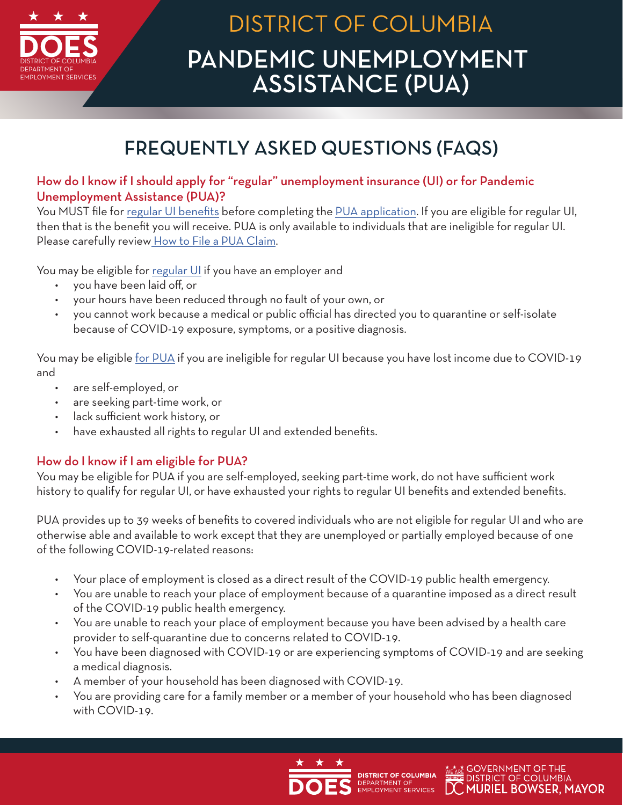

# PANDEMIC UNEMPLOYMENT ASSISTANCE (PUA) DISTRICT OF COLUMBIA

## FREQUENTLY ASKED QUESTIONS (FAQS)

## How do I know if I should apply for "regular" unemployment insurance (UI) or for Pandemic Unemployment Assistance (PUA)?

You MUST file for [regular UI benefits](https://does.dcnetworks.org/initialclaims/?Lang=en-US) before completing the [PUA application](https://dcdoes.force.com/PUAForm/s/). If you are eligible for regular UI, then that is the benefit you will receive. PUA is only available to individuals that are ineligible for regular UI. Please carefully review [How to File a PUA Claim](https://does.dcnetworks.org/claimantservices/How%20to%20File%20a%20PUA%20Claim.PDF).

You may be eligible for [regular UI](https://does.dcnetworks.org/initialclaims/?Lang=en-US) if you have an employer and

- you have been laid off, or
- your hours have been reduced through no fault of your own, or
- you cannot work because a medical or public official has directed you to quarantine or self-isolate because of COVID-19 exposure, symptoms, or a positive diagnosis.

You may be eligible [for PUA](https://dcdoes.force.com/PUAForm/s/) if you are ineligible for regular UI because you have lost income due to COVID-19 and

- are self-employed, or
- are seeking part-time work, or
- lack sufficient work history, or
- have exhausted all rights to regular UI and extended benefits.

## How do I know if I am eligible for PUA?

You may be eligible for PUA if you are self-employed, seeking part-time work, do not have sufficient work history to qualify for regular UI, or have exhausted your rights to regular UI benefits and extended benefits.

PUA provides up to 39 weeks of benefits to covered individuals who are not eligible for regular UI and who are otherwise able and available to work except that they are unemployed or partially employed because of one of the following COVID-19-related reasons:

- Your place of employment is closed as a direct result of the COVID-19 public health emergency.
- You are unable to reach your place of employment because of a quarantine imposed as a direct result of the COVID-19 public health emergency.
- You are unable to reach your place of employment because you have been advised by a health care provider to self-quarantine due to concerns related to COVID-19.
- You have been diagnosed with COVID-19 or are experiencing symptoms of COVID-19 and are seeking a medical diagnosis.
- A member of your household has been diagnosed with COVID-19.
- You are providing care for a family member or a member of your household who has been diagnosed with COVID-19.



DEPARTMENT OF<br>EMPLOYMENT SERVICES

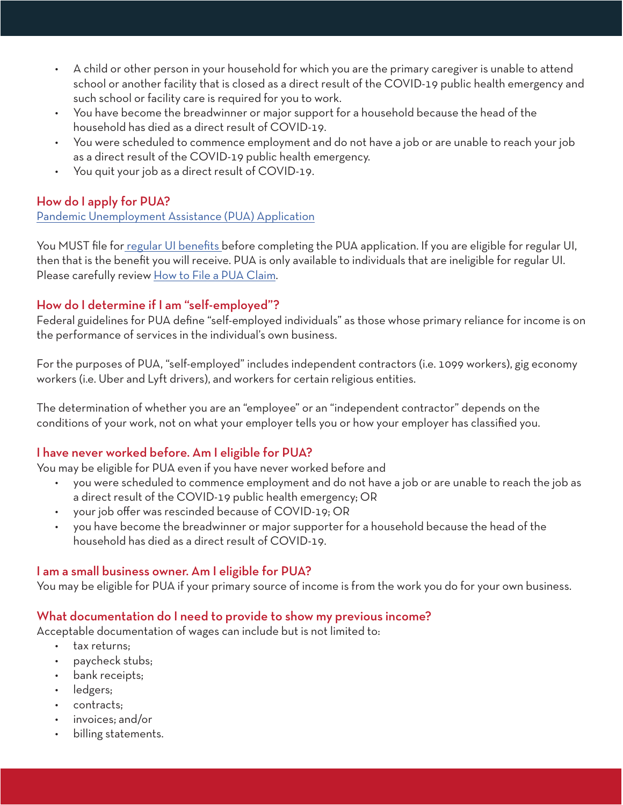- A child or other person in your household for which you are the primary caregiver is unable to attend school or another facility that is closed as a direct result of the COVID-19 public health emergency and such school or facility care is required for you to work.
- You have become the breadwinner or major support for a household because the head of the household has died as a direct result of COVID-19.
- You were scheduled to commence employment and do not have a job or are unable to reach your job as a direct result of the COVID-19 public health emergency.
- You quit your job as a direct result of COVID-19.

#### How do I apply for PUA?

[Pandemic Unemployment Assistance \(PUA\) Application](https://dcdoes.force.com/PUAForm/s/)

You MUST file fo[r regular UI benefits b](https://does.dcnetworks.org/initialclaims/?Lang=en-US)efore completing the PUA application. If you are eligible for regular UI, then that is the benefit you will receive. PUA is only available to individuals that are ineligible for regular UI. Please carefully review [How to File a PUA Claim](https://does.dcnetworks.org/claimantservices/How%20to%20File%20a%20PUA%20Claim.PDF).

#### How do I determine if I am "self-employed"?

Federal guidelines for PUA define "self-employed individuals" as those whose primary reliance for income is on the performance of services in the individual's own business.

For the purposes of PUA, "self-employed" includes independent contractors (i.e. 1099 workers), gig economy workers (i.e. Uber and Lyft drivers), and workers for certain religious entities.

The determination of whether you are an "employee" or an "independent contractor" depends on the conditions of your work, not on what your employer tells you or how your employer has classified you.

#### I have never worked before. Am I eligible for PUA?

You may be eligible for PUA even if you have never worked before and

- you were scheduled to commence employment and do not have a job or are unable to reach the job as a direct result of the COVID-19 public health emergency; OR
- your job offer was rescinded because of COVID-19; OR
- you have become the breadwinner or major supporter for a household because the head of the household has died as a direct result of COVID-19.

#### I am a small business owner. Am I eligible for PUA?

You may be eligible for PUA if your primary source of income is from the work you do for your own business.

#### What documentation do I need to provide to show my previous income?

Acceptable documentation of wages can include but is not limited to:

- tax returns;
- paycheck stubs;
- bank receipts;
- ledgers;
- contracts;
- invoices; and/or
- billing statements.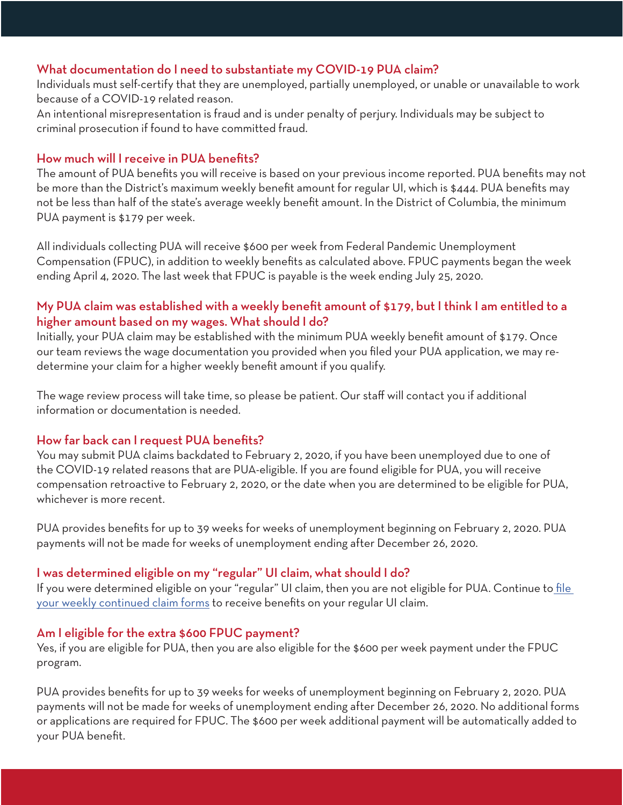#### What documentation do I need to substantiate my COVID-19 PUA claim?

Individuals must self-certify that they are unemployed, partially unemployed, or unable or unavailable to work because of a COVID-19 related reason.

An intentional misrepresentation is fraud and is under penalty of perjury. Individuals may be subject to criminal prosecution if found to have committed fraud.

#### How much will I receive in PUA benefits?

The amount of PUA benefits you will receive is based on your previous income reported. PUA benefits may not be more than the District's maximum weekly benefit amount for regular UI, which is \$444. PUA benefits may not be less than half of the state's average weekly benefit amount. In the District of Columbia, the minimum PUA payment is \$179 per week.

All individuals collecting PUA will receive \$600 per week from Federal Pandemic Unemployment Compensation (FPUC), in addition to weekly benefits as calculated above. FPUC payments began the week ending April 4, 2020. The last week that FPUC is payable is the week ending July 25, 2020.

#### My PUA claim was established with a weekly benefit amount of \$179, but I think I am entitled to a higher amount based on my wages. What should I do?

Initially, your PUA claim may be established with the minimum PUA weekly benefit amount of \$179. Once our team reviews the wage documentation you provided when you filed your PUA application, we may redetermine your claim for a higher weekly benefit amount if you qualify.

The wage review process will take time, so please be patient. Our staff will contact you if additional information or documentation is needed.

#### How far back can I request PUA benefits?

You may submit PUA claims backdated to February 2, 2020, if you have been unemployed due to one of the COVID-19 related reasons that are PUA-eligible. If you are found eligible for PUA, you will receive compensation retroactive to February 2, 2020, or the date when you are determined to be eligible for PUA, whichever is more recent.

PUA provides benefits for up to 39 weeks for weeks of unemployment beginning on February 2, 2020. PUA payments will not be made for weeks of unemployment ending after December 26, 2020.

#### I was determined eligible on my "regular" UI claim, what should I do?

If you were determined eligible on your "regular" UI claim, then you are not eligible for PUA. Continue to file [your weekly continued claim forms](https://does.dcnetworks.org/ClaimantServices/logon.aspx?ReturnUrl=%2fclaimantservices%2fCSHome.aspx) to receive benefits on your regular UI claim.

#### Am I eligible for the extra \$600 FPUC payment?

Yes, if you are eligible for PUA, then you are also eligible for the \$600 per week payment under the FPUC program.

PUA provides benefits for up to 39 weeks for weeks of unemployment beginning on February 2, 2020. PUA payments will not be made for weeks of unemployment ending after December 26, 2020. No additional forms or applications are required for FPUC. The \$600 per week additional payment will be automatically added to your PUA benefit.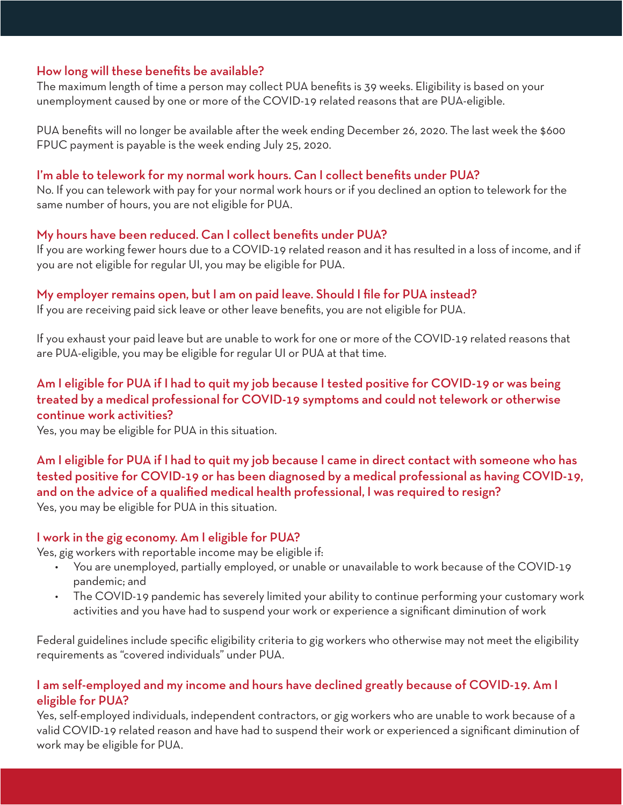#### How long will these benefits be available?

The maximum length of time a person may collect PUA benefits is 39 weeks. Eligibility is based on your unemployment caused by one or more of the COVID-19 related reasons that are PUA-eligible.

PUA benefits will no longer be available after the week ending December 26, 2020. The last week the \$600 FPUC payment is payable is the week ending July 25, 2020.

#### I'm able to telework for my normal work hours. Can I collect benefits under PUA?

No. If you can telework with pay for your normal work hours or if you declined an option to telework for the same number of hours, you are not eligible for PUA.

#### My hours have been reduced. Can I collect benefits under PUA?

If you are working fewer hours due to a COVID-19 related reason and it has resulted in a loss of income, and if you are not eligible for regular UI, you may be eligible for PUA.

#### My employer remains open, but I am on paid leave. Should I file for PUA instead?

If you are receiving paid sick leave or other leave benefits, you are not eligible for PUA.

If you exhaust your paid leave but are unable to work for one or more of the COVID-19 related reasons that are PUA-eligible, you may be eligible for regular UI or PUA at that time.

## Am I eligible for PUA if I had to quit my job because I tested positive for COVID-19 or was being treated by a medical professional for COVID-19 symptoms and could not telework or otherwise continue work activities?

Yes, you may be eligible for PUA in this situation.

Am I eligible for PUA if I had to quit my job because I came in direct contact with someone who has tested positive for COVID-19 or has been diagnosed by a medical professional as having COVID-19, and on the advice of a qualified medical health professional, I was required to resign? Yes, you may be eligible for PUA in this situation.

#### I work in the gig economy. Am I eligible for PUA?

Yes, gig workers with reportable income may be eligible if:

- You are unemployed, partially employed, or unable or unavailable to work because of the COVID-19 pandemic; and
- The COVID-19 pandemic has severely limited your ability to continue performing your customary work activities and you have had to suspend your work or experience a significant diminution of work

Federal guidelines include specific eligibility criteria to gig workers who otherwise may not meet the eligibility requirements as "covered individuals" under PUA.

#### I am self-employed and my income and hours have declined greatly because of COVID-19. Am I eligible for PUA?

Yes, self-employed individuals, independent contractors, or gig workers who are unable to work because of a valid COVID-19 related reason and have had to suspend their work or experienced a significant diminution of work may be eligible for PUA.